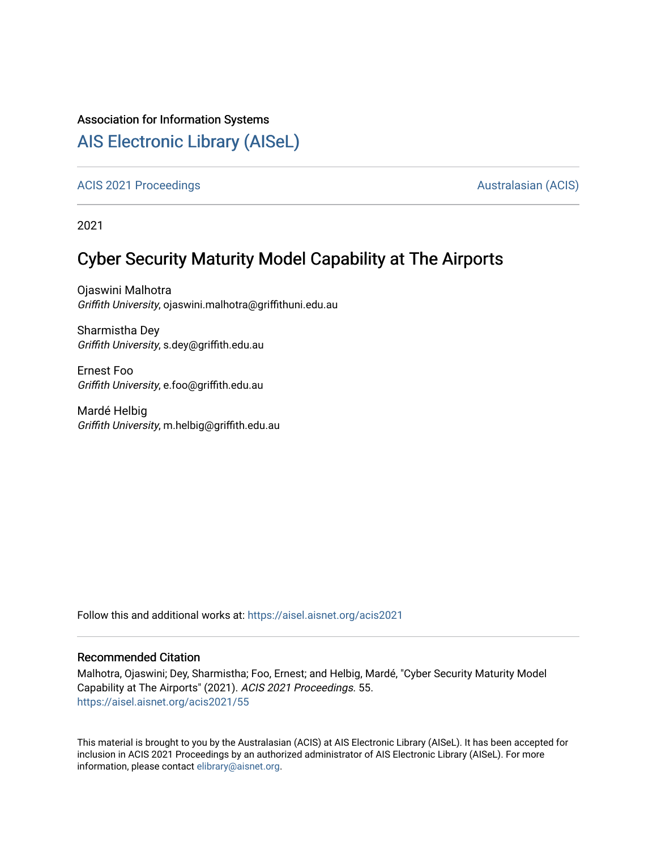#### Association for Information Systems

## [AIS Electronic Library \(AISeL\)](https://aisel.aisnet.org/)

#### [ACIS 2021 Proceedings](https://aisel.aisnet.org/acis2021) **AUSTRALIA CIS** Australasian (ACIS)

2021

# Cyber Security Maturity Model Capability at The Airports

Ojaswini Malhotra Griffith University, ojaswini.malhotra@griffithuni.edu.au

Sharmistha Dey Griffith University, s.dey@griffith.edu.au

Ernest Foo Griffith University, e.foo@griffith.edu.au

Mardé Helbig Griffith University, m.helbig@griffith.edu.au

Follow this and additional works at: [https://aisel.aisnet.org/acis2021](https://aisel.aisnet.org/acis2021?utm_source=aisel.aisnet.org%2Facis2021%2F55&utm_medium=PDF&utm_campaign=PDFCoverPages) 

#### Recommended Citation

Malhotra, Ojaswini; Dey, Sharmistha; Foo, Ernest; and Helbig, Mardé, "Cyber Security Maturity Model Capability at The Airports" (2021). ACIS 2021 Proceedings. 55. [https://aisel.aisnet.org/acis2021/55](https://aisel.aisnet.org/acis2021/55?utm_source=aisel.aisnet.org%2Facis2021%2F55&utm_medium=PDF&utm_campaign=PDFCoverPages)

This material is brought to you by the Australasian (ACIS) at AIS Electronic Library (AISeL). It has been accepted for inclusion in ACIS 2021 Proceedings by an authorized administrator of AIS Electronic Library (AISeL). For more information, please contact [elibrary@aisnet.org.](mailto:elibrary@aisnet.org%3E)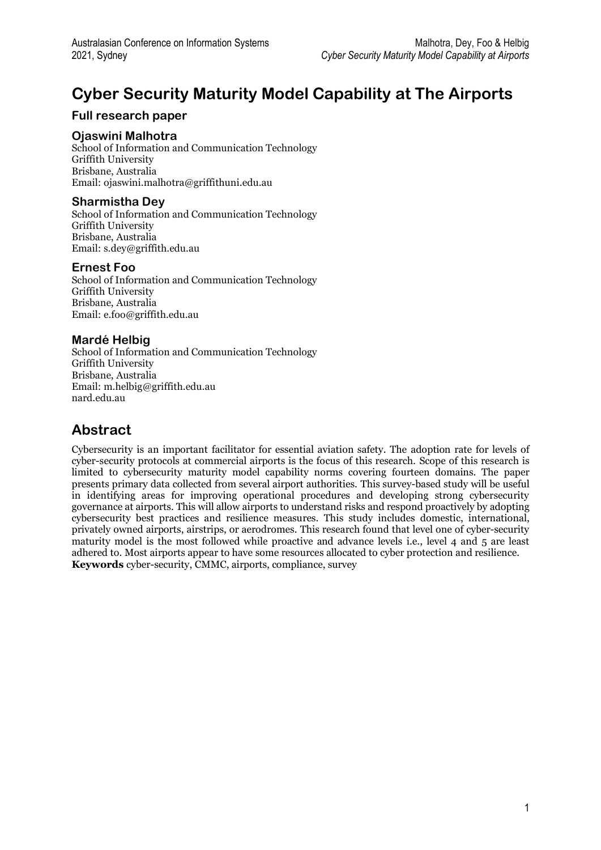# **Cyber Security Maturity Model Capability at The Airports**

## **Full research paper**

#### **Ojaswini Malhotra**

School of Information and Communication Technology Griffith University Brisbane, Australia Email: ojaswini.malhotra@griffithuni.edu.au

### **Sharmistha Dey**

School of Information and Communication Technology Griffith University Brisbane, Australia Email: s.dey@griffith.edu.au

#### **Ernest Foo**

School of Information and Communication Technology Griffith University Brisbane, Australia Email: e.foo@griffith.edu.au

#### **Mardé Helbig**

School of Information and Communication Technology Griffith University Brisbane, Australia Email: m.helbig@griffith.edu.au nard.edu.au

## **Abstract**

Cybersecurity is an important facilitator for essential aviation safety. The adoption rate for levels of cyber-security protocols at commercial airports is the focus of this research. Scope of this research is limited to cybersecurity maturity model capability norms covering fourteen domains. The paper presents primary data collected from several airport authorities. This survey-based study will be useful in identifying areas for improving operational procedures and developing strong cybersecurity governance at airports. This will allow airports to understand risks and respond proactively by adopting cybersecurity best practices and resilience measures. This study includes domestic, international, privately owned airports, airstrips, or aerodromes. This research found that level one of cyber-security maturity model is the most followed while proactive and advance levels i.e., level 4 and 5 are least adhered to. Most airports appear to have some resources allocated to cyber protection and resilience. **Keywords** cyber-security, CMMC, airports, compliance, survey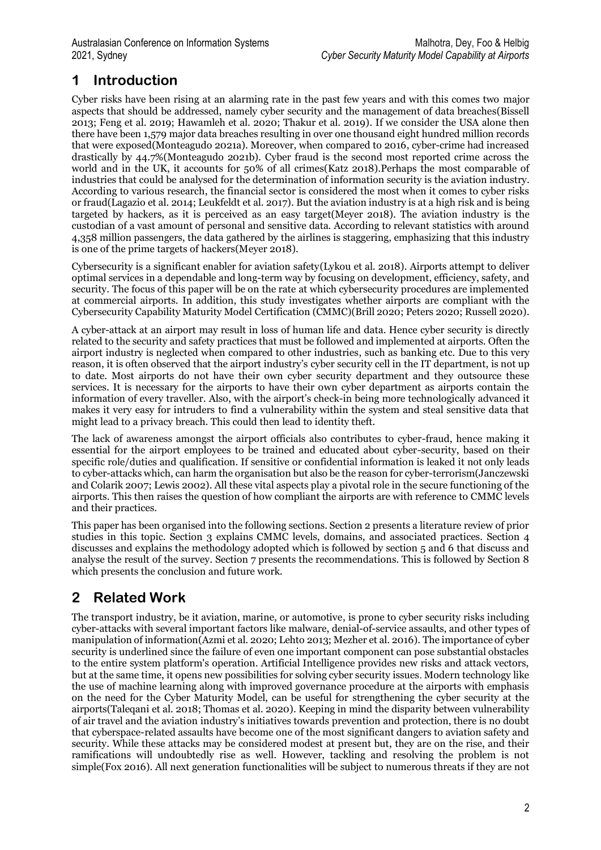# **1 Introduction**

Cyber risks have been rising at an alarming rate in the past few years and with this comes two major aspects that should be addressed, namely cyber security and the management of data breaches(Bissell 2013; Feng et al. 2019; Hawamleh et al. 2020; Thakur et al. 2019). If we consider the USA alone then there have been 1,579 major data breaches resulting in over one thousand eight hundred million records that were exposed(Monteagudo 2021a). Moreover, when compared to 2016, cyber-crime had increased drastically by 44.7%(Monteagudo 2021b). Cyber fraud is the second most reported crime across the world and in the UK, it accounts for 50% of all crimes(Katz 2018).Perhaps the most comparable of industries that could be analysed for the determination of information security is the aviation industry. According to various research, the financial sector is considered the most when it comes to cyber risks or fraud(Lagazio et al. 2014; Leukfeldt et al. 2017). But the aviation industry is at a high risk and is being targeted by hackers, as it is perceived as an easy target(Meyer 2018). The aviation industry is the custodian of a vast amount of personal and sensitive data. According to relevant statistics with around 4,358 million passengers, the data gathered by the airlines is staggering, emphasizing that this industry is one of the prime targets of hackers(Meyer 2018).

Cybersecurity is a significant enabler for aviation safety(Lykou et al. 2018). Airports attempt to deliver optimal services in a dependable and long-term way by focusing on development, efficiency, safety, and security. The focus of this paper will be on the rate at which cybersecurity procedures are implemented at commercial airports. In addition, this study investigates whether airports are compliant with the Cybersecurity Capability Maturity Model Certification (CMMC)(Brill 2020; Peters 2020; Russell 2020).

A cyber-attack at an airport may result in loss of human life and data. Hence cyber security is directly related to the security and safety practices that must be followed and implemented at airports. Often the airport industry is neglected when compared to other industries, such as banking etc. Due to this very reason, it is often observed that the airport industry's cyber security cell in the IT department, is not up to date. Most airports do not have their own cyber security department and they outsource these services. It is necessary for the airports to have their own cyber department as airports contain the information of every traveller. Also, with the airport's check-in being more technologically advanced it makes it very easy for intruders to find a vulnerability within the system and steal sensitive data that might lead to a privacy breach. This could then lead to identity theft.

The lack of awareness amongst the airport officials also contributes to cyber-fraud, hence making it essential for the airport employees to be trained and educated about cyber-security, based on their specific role/duties and qualification. If sensitive or confidential information is leaked it not only leads to cyber-attacks which, can harm the organisation but also be the reason for cyber-terrorism(Janczewski and Colarik 2007; Lewis 2002). All these vital aspects play a pivotal role in the secure functioning of the airports. This then raises the question of how compliant the airports are with reference to CMMC levels and their practices.

This paper has been organised into the following sections. Section 2 presents a literature review of prior studies in this topic. Section 3 explains CMMC levels, domains, and associated practices. Section 4 discusses and explains the methodology adopted which is followed by section 5 and 6 that discuss and analyse the result of the survey. Section 7 presents the recommendations. This is followed by Section 8 which presents the conclusion and future work.

# **2 Related Work**

The transport industry, be it aviation, marine, or automotive, is prone to cyber security risks including cyber-attacks with several important factors like malware, denial-of-service assaults, and other types of manipulation of information(Azmi et al. 2020; Lehto 2013; Mezher et al. 2016). The importance of cyber security is underlined since the failure of even one important component can pose substantial obstacles to the entire system platform's operation. Artificial Intelligence provides new risks and attack vectors, but at the same time, it opens new possibilities for solving cyber security issues. Modern technology like the use of machine learning along with improved governance procedure at the airports with emphasis on the need for the Cyber Maturity Model, can be useful for strengthening the cyber security at the airports(Taleqani et al. 2018; Thomas et al. 2020). Keeping in mind the disparity between vulnerability of air travel and the aviation industry's initiatives towards prevention and protection, there is no doubt that cyberspace-related assaults have become one of the most significant dangers to aviation safety and security. While these attacks may be considered modest at present but, they are on the rise, and their ramifications will undoubtedly rise as well. However, tackling and resolving the problem is not simple(Fox 2016). All next generation functionalities will be subject to numerous threats if they are not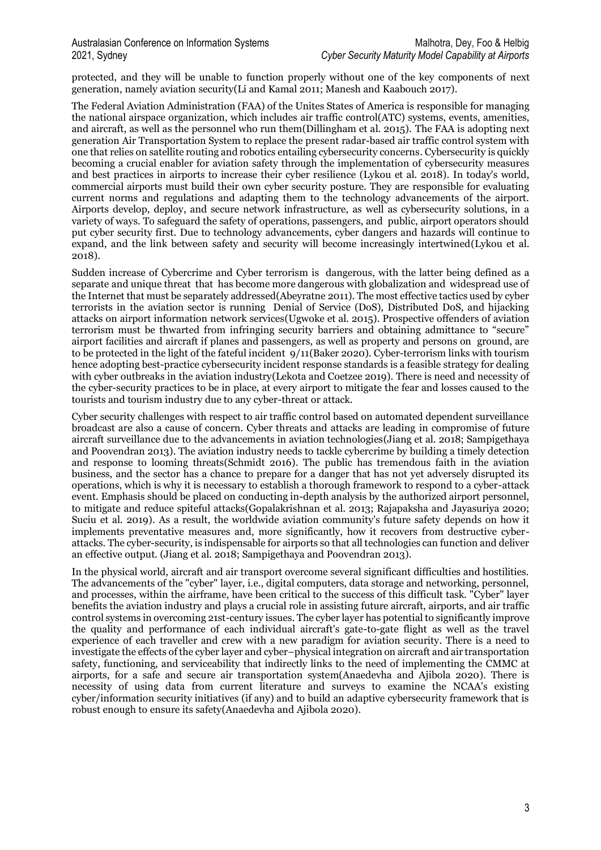protected, and they will be unable to function properly without one of the key components of next generation, namely aviation security(Li and Kamal 2011; Manesh and Kaabouch 2017).

The Federal Aviation Administration (FAA) of the Unites States of America is responsible for managing the national airspace organization, which includes air traffic control(ATC) systems, events, amenities, and aircraft, as well as the personnel who run them(Dillingham et al. 2015). The FAA is adopting next generation Air Transportation System to replace the present radar-based air traffic control system with one that relies on satellite routing and robotics entailing cybersecurity concerns. Cybersecurity is quickly becoming a crucial enabler for aviation safety through the implementation of cybersecurity measures and best practices in airports to increase their cyber resilience (Lykou et al. 2018). In today's world, commercial airports must build their own cyber security posture. They are responsible for evaluating current norms and regulations and adapting them to the technology advancements of the airport. Airports develop, deploy, and secure network infrastructure, as well as cybersecurity solutions, in a variety of ways. To safeguard the safety of operations, passengers, and public, airport operators should put cyber security first. Due to technology advancements, cyber dangers and hazards will continue to expand, and the link between safety and security will become increasingly intertwined(Lykou et al. 2018).

Sudden increase of Cybercrime and Cyber terrorism is dangerous, with the latter being defined as a separate and unique threat that has become more dangerous with globalization and widespread use of the Internet that must be separately addressed(Abeyratne 2011). The most effective tactics used by cyber terrorists in the aviation sector is running Denial of Service (DoS), Distributed DoS, and hijacking attacks on airport information network services(Ugwoke et al. 2015). Prospective offenders of aviation terrorism must be thwarted from infringing security barriers and obtaining admittance to "secure" airport facilities and aircraft if planes and passengers, as well as property and persons on ground, are to be protected in the light of the fateful incident 9/11(Baker 2020). Cyber-terrorism links with tourism hence adopting best-practice cybersecurity incident response standards is a feasible strategy for dealing with cyber outbreaks in the aviation industry(Lekota and Coetzee 2019). There is need and necessity of the cyber-security practices to be in place, at every airport to mitigate the fear and losses caused to the tourists and tourism industry due to any cyber-threat or attack.

Cyber security challenges with respect to air traffic control based on automated dependent surveillance broadcast are also a cause of concern. Cyber threats and attacks are leading in compromise of future aircraft surveillance due to the advancements in aviation technologies(Jiang et al. 2018; Sampigethaya and Poovendran 2013). The aviation industry needs to tackle cybercrime by building a timely detection and response to looming threats(Schmidt 2016). The public has tremendous faith in the aviation business, and the sector has a chance to prepare for a danger that has not yet adversely disrupted its operations, which is why it is necessary to establish a thorough framework to respond to a cyber-attack event. Emphasis should be placed on conducting in-depth analysis by the authorized airport personnel, to mitigate and reduce spiteful attacks(Gopalakrishnan et al. 2013; Rajapaksha and Jayasuriya 2020; Suciu et al. 2019). As a result, the worldwide aviation community's future safety depends on how it implements preventative measures and, more significantly, how it recovers from destructive cyberattacks. The cyber-security, is indispensable for airports so that all technologies can function and deliver an effective output. (Jiang et al. 2018; Sampigethaya and Poovendran 2013).

In the physical world, aircraft and air transport overcome several significant difficulties and hostilities. The advancements of the "cyber" layer, i.e., digital computers, data storage and networking, personnel, and processes, within the airframe, have been critical to the success of this difficult task. "Cyber" layer benefits the aviation industry and plays a crucial role in assisting future aircraft, airports, and air traffic control systems in overcoming 21st-century issues. The cyber layer has potential to significantly improve the quality and performance of each individual aircraft's gate-to-gate flight as well as the travel experience of each traveller and crew with a new paradigm for aviation security. There is a need to investigate the effects of the cyber layer and cyber–physical integration on aircraft and air transportation safety, functioning, and serviceability that indirectly links to the need of implementing the CMMC at airports, for a safe and secure air transportation system(Anaedevha and Ajibola 2020). There is necessity of using data from current literature and surveys to examine the NCAA's existing cyber/information security initiatives (if any) and to build an adaptive cybersecurity framework that is robust enough to ensure its safety(Anaedevha and Ajibola 2020).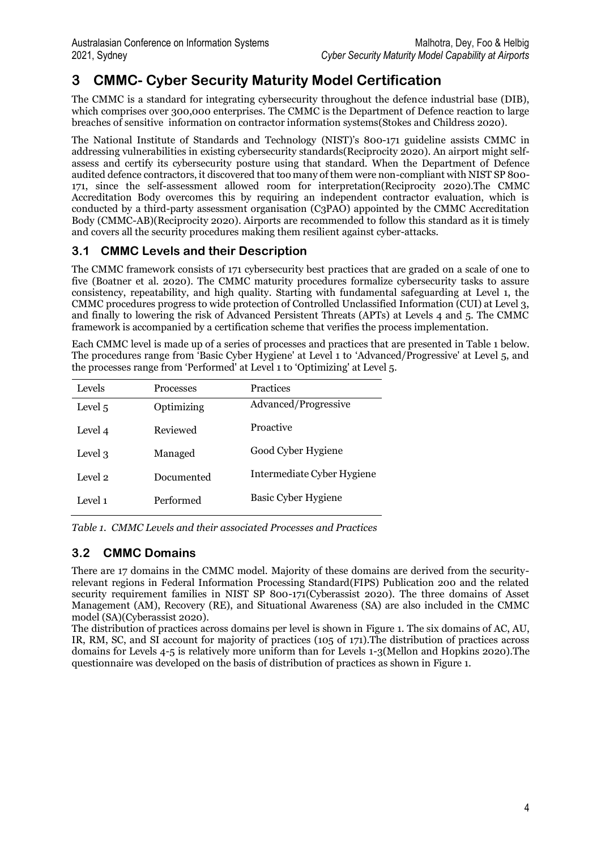# **3 CMMC- Cyber Security Maturity Model Certification**

The CMMC is a standard for integrating cybersecurity throughout the defence industrial base (DIB), which comprises over 300,000 enterprises. The CMMC is the Department of Defence reaction to large breaches of sensitive information on contractor information systems(Stokes and Childress 2020).

The National Institute of Standards and Technology (NIST)'s 800-171 guideline assists CMMC in addressing vulnerabilities in existing cybersecurity standards(Reciprocity 2020). An airport might selfassess and certify its cybersecurity posture using that standard. When the Department of Defence audited defence contractors, it discovered that too many of them were non-compliant with NIST SP 800- 171, since the self-assessment allowed room for interpretation(Reciprocity 2020).The CMMC Accreditation Body overcomes this by requiring an independent contractor evaluation, which is conducted by a third-party assessment organisation (C3PAO) appointed by the CMMC Accreditation Body (CMMC-AB)(Reciprocity 2020). Airports are recommended to follow this standard as it is timely and covers all the security procedures making them resilient against cyber-attacks.

## **3.1 CMMC Levels and their Description**

The CMMC framework consists of 171 cybersecurity best practices that are graded on a scale of one to five (Boatner et al. 2020). The CMMC maturity procedures formalize cybersecurity tasks to assure consistency, repeatability, and high quality. Starting with fundamental safeguarding at Level 1, the CMMC procedures progress to wide protection of Controlled Unclassified Information (CUI) at Level 3, and finally to lowering the risk of Advanced Persistent Threats (APTs) at Levels 4 and 5. The CMMC framework is accompanied by a certification scheme that verifies the process implementation.

Each CMMC level is made up of a series of processes and practices that are presented in Table 1 below. The procedures range from 'Basic Cyber Hygiene' at Level 1 to 'Advanced/Progressive' at Level 5, and the processes range from 'Performed' at Level 1 to 'Optimizing' at Level 5.

| Levels  | <b>Processes</b> | <b>Practices</b>           |
|---------|------------------|----------------------------|
| Level 5 | Optimizing       | Advanced/Progressive       |
| Level 4 | Reviewed         | Proactive                  |
| Level 3 | Managed          | Good Cyber Hygiene         |
| Level 2 | Documented       | Intermediate Cyber Hygiene |
| Level 1 | Performed        | Basic Cyber Hygiene        |

*Table 1. CMMC Levels and their associated Processes and Practices*

## **3.2 CMMC Domains**

There are 17 domains in the CMMC model. Majority of these domains are derived from the securityrelevant regions in Federal Information Processing Standard(FIPS) Publication 200 and the related security requirement families in NIST SP 800-171(Cyberassist 2020). The three domains of Asset Management (AM), Recovery (RE), and Situational Awareness (SA) are also included in the CMMC model (SA)(Cyberassist 2020).

The distribution of practices across domains per level is shown in Figure 1. The six domains of AC, AU, IR, RM, SC, and SI account for majority of practices (105 of 171).The distribution of practices across domains for Levels 4-5 is relatively more uniform than for Levels 1-3(Mellon and Hopkins 2020).The questionnaire was developed on the basis of distribution of practices as shown in Figure 1.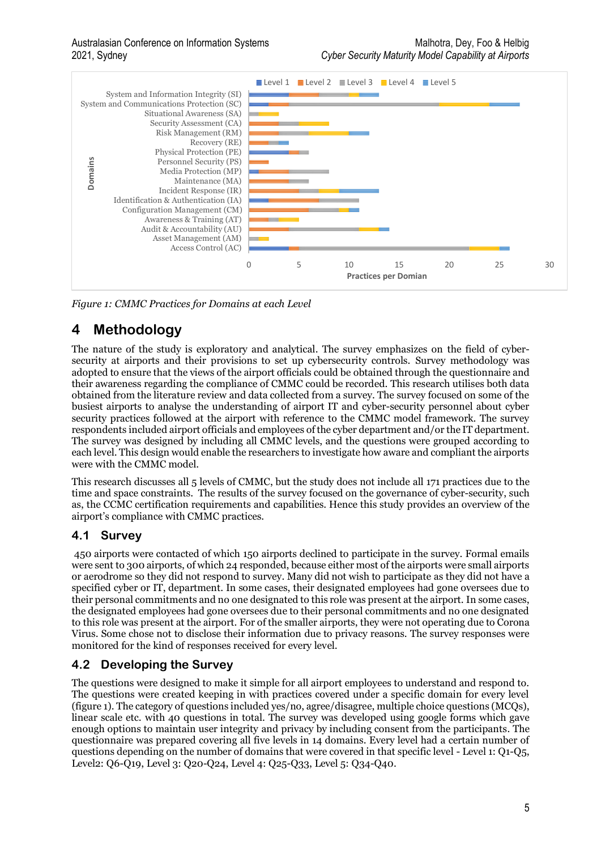

*Figure 1: CMMC Practices for Domains at each Level*

## **4 Methodology**

The nature of the study is exploratory and analytical. The survey emphasizes on the field of cybersecurity at airports and their provisions to set up cybersecurity controls. Survey methodology was adopted to ensure that the views of the airport officials could be obtained through the questionnaire and their awareness regarding the compliance of CMMC could be recorded. This research utilises both data obtained from the literature review and data collected from a survey. The survey focused on some of the busiest airports to analyse the understanding of airport IT and cyber-security personnel about cyber security practices followed at the airport with reference to the CMMC model framework. The survey respondents included airport officials and employees of the cyber department and/or the IT department. The survey was designed by including all CMMC levels, and the questions were grouped according to each level. This design would enable the researchers to investigate how aware and compliant the airports were with the CMMC model.

This research discusses all 5 levels of CMMC, but the study does not include all 171 practices due to the time and space constraints. The results of the survey focused on the governance of cyber-security, such as, the CCMC certification requirements and capabilities. Hence this study provides an overview of the airport's compliance with CMMC practices.

## **4.1 Survey**

450 airports were contacted of which 150 airports declined to participate in the survey. Formal emails were sent to 300 airports, of which 24 responded, because either most of the airports were small airports or aerodrome so they did not respond to survey. Many did not wish to participate as they did not have a specified cyber or IT, department. In some cases, their designated employees had gone oversees due to their personal commitments and no one designated to this role was present at the airport. In some cases, the designated employees had gone oversees due to their personal commitments and no one designated to this role was present at the airport. For of the smaller airports, they were not operating due to Corona Virus. Some chose not to disclose their information due to privacy reasons. The survey responses were monitored for the kind of responses received for every level.

## **4.2 Developing the Survey**

The questions were designed to make it simple for all airport employees to understand and respond to. The questions were created keeping in with practices covered under a specific domain for every level (figure 1). The category of questions included yes/no, agree/disagree, multiple choice questions (MCQs), linear scale etc. with 40 questions in total. The survey was developed using google forms which gave enough options to maintain user integrity and privacy by including consent from the participants. The questionnaire was prepared covering all five levels in 14 domains. Every level had a certain number of questions depending on the number of domains that were covered in that specific level - Level 1: Q1-Q5, Level2: Q6-Q19, Level 3: Q20-Q24, Level 4: Q25-Q33, Level 5: Q34-Q40.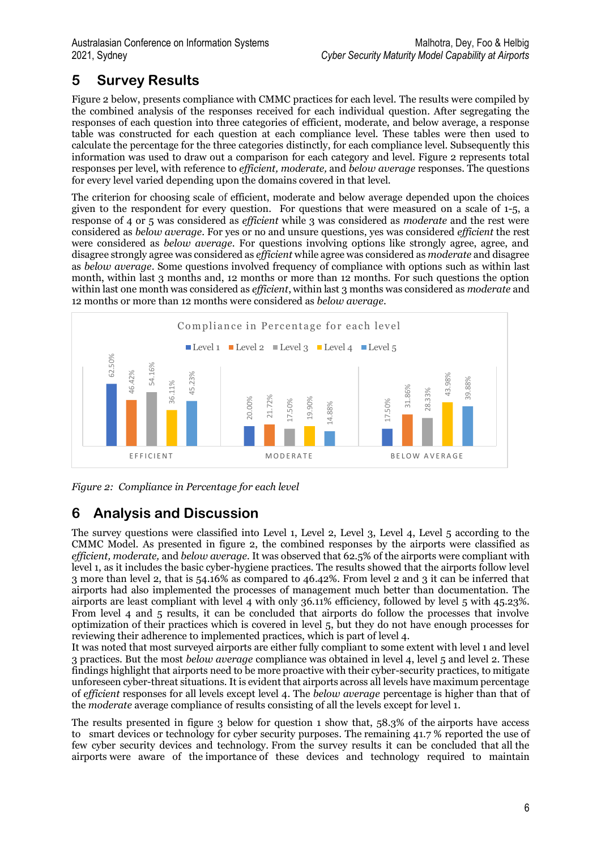# **5 Survey Results**

Figure 2 below, presents compliance with CMMC practices for each level. The results were compiled by the combined analysis of the responses received for each individual question. After segregating the responses of each question into three categories of efficient, moderate, and below average, a response table was constructed for each question at each compliance level. These tables were then used to calculate the percentage for the three categories distinctly, for each compliance level. Subsequently this information was used to draw out a comparison for each category and level. Figure 2 represents total responses per level, with reference to *efficient, moderate,* and *below average* responses. The questions for every level varied depending upon the domains covered in that level.

The criterion for choosing scale of efficient, moderate and below average depended upon the choices given to the respondent for every question. For questions that were measured on a scale of 1-5, a response of 4 or 5 was considered as *efficient* while 3 was considered as *moderate* and the rest were considered as *below average*. For yes or no and unsure questions, yes was considered *efficient* the rest were considered as *below average*. For questions involving options like strongly agree, agree, and disagree strongly agree was considered as *efficient* while agree was considered as *moderate* and disagree as *below average*. Some questions involved frequency of compliance with options such as within last month, within last 3 months and, 12 months or more than 12 months. For such questions the option within last one month was considered as *efficient*, within last 3 months was considered as *moderate* and 12 months or more than 12 months were considered as *below average*.



*Figure 2: Compliance in Percentage for each level*

# **6 Analysis and Discussion**

The survey questions were classified into Level 1, Level 2, Level 3, Level 4, Level 5 according to the CMMC Model. As presented in figure 2, the combined responses by the airports were classified as *efficient, moderate,* and *below average.* It was observed that 62.5% of the airports were compliant with level 1, as it includes the basic cyber-hygiene practices. The results showed that the airports follow level 3 more than level 2, that is 54.16% as compared to 46.42%. From level 2 and 3 it can be inferred that airports had also implemented the processes of management much better than documentation. The airports are least compliant with level 4 with only 36.11% efficiency, followed by level 5 with 45.23%. From level 4 and 5 results, it can be concluded that airports do follow the processes that involve optimization of their practices which is covered in level 5, but they do not have enough processes for reviewing their adherence to implemented practices, which is part of level 4. **Example 1.1** and 1.1 and 1.1 and 1.1 and 1.1 and 1.1 and 1.1 and 1.1 and 1.1 and 1.1 and 1.1 and 1.1 and 1.1 and 1.1 and 1.1 and 1.1 and 1.1 and 1.1 and 1.1 and 1.1 and 1.1 and 1.1 and 1.1 and 1.1 and 1.1 and 1.1 and 1.1

It was noted that most surveyed airports are either fully compliant to some extent with level 1 and level 3 practices. But the most *below average* compliance was obtained in level 4, level 5 and level 2. These findings highlight that airports need to be more proactive with their cyber-security practices, to mitigate unforeseen cyber-threat situations. It is evident that airports across all levels have maximum percentage of *efficient* responses for all levels except level 4. The *below average* percentage is higher than that of the *moderate* average compliance of results consisting of all the levels except for level 1.

The results presented in figure 3 below for question 1 show that,  $58.3\%$  of the airports have access to smart devices or technology for cyber security purposes. The remaining 41.7 % reported the use of few cyber security devices and technology. From the survey results it can be concluded that all the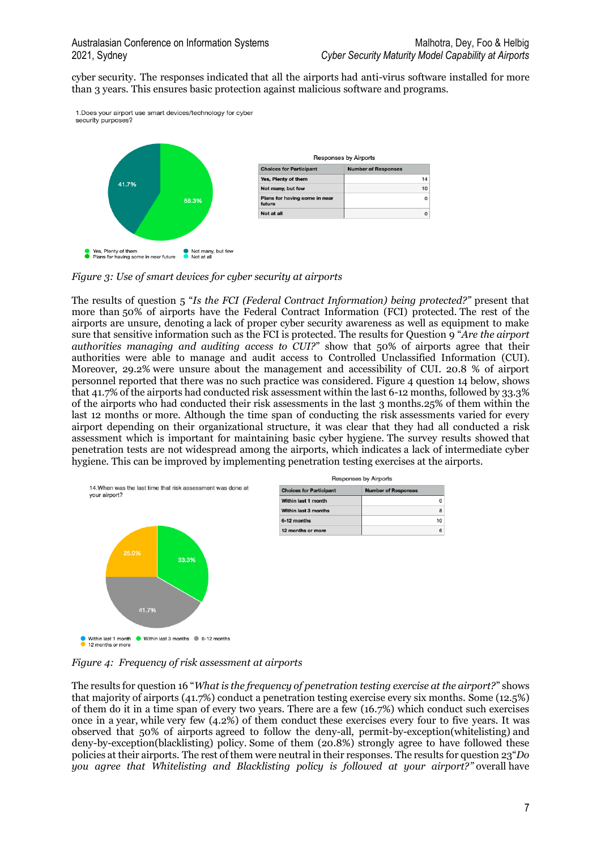$\overline{0}$ 

 $\overline{8}$ 

 $10$ 

 $6\overline{6}$ 

cyber security. The responses indicated that all the airports had anti-virus software installed for more than 3 years. This ensures basic protection against malicious software and programs.



*Figure 3: Use of smart devices for cyber security at airports*

The results of question 5 "*Is the FCI (Federal Contract Information) being protected?"* present that more than 50% of airports have the Federal Contract Information (FCI) protected. The rest of the airports are unsure, denoting a lack of proper cyber security awareness as well as equipment to make sure that sensitive information such as the FCI is protected. The results for Question 9 "*Are the airport authorities managing and auditing access to CUI?*" show that 50% of airports agree that their authorities were able to manage and audit access to Controlled Unclassified Information (CUI). Moreover, 29.2% were unsure about the management and accessibility of CUI. 20.8 % of airport personnel reported that there was no such practice was considered. Figure 4 question 14 below, shows that 41.7% of the airports had conducted risk assessment within the last 6-12 months, followed by 33.3% of the airports who had conducted their risk assessments in the last 3 months.25% of them within the last 12 months or more. Although the time span of conducting the risk assessments varied for every airport depending on their organizational structure, it was clear that they had all conducted a risk assessment which is important for maintaining basic cyber hygiene. The survey results showed that penetration tests are not widespread among the airports, which indicates a lack of intermediate cyber hygiene. This can be improved by implementing penetration testing exercises at the airports.



● Within last 1 month ● Within last 3 months ● 6-12 months

*Figure 4: Frequency of risk assessment at airports*

The results for question 16 "*What is the frequency of penetration testing exercise at the airport?*" shows that majority of airports (41.7%) conduct a penetration testing exercise every six months. Some (12.5%) of them do it in a time span of every two years. There are a few (16.7%) which conduct such exercises once in a year, while very few (4.2%) of them conduct these exercises every four to five years. It was observed that 50% of airports agreed to follow the deny-all, permit-by-exception(whitelisting) and deny-by-exception(blacklisting) policy. Some of them (20.8%) strongly agree to have followed these policies at their airports. The rest of them were neutral in their responses. The results for question 23"*Do you agree that Whitelisting and Blacklisting policy is followed at your airport?"* overall have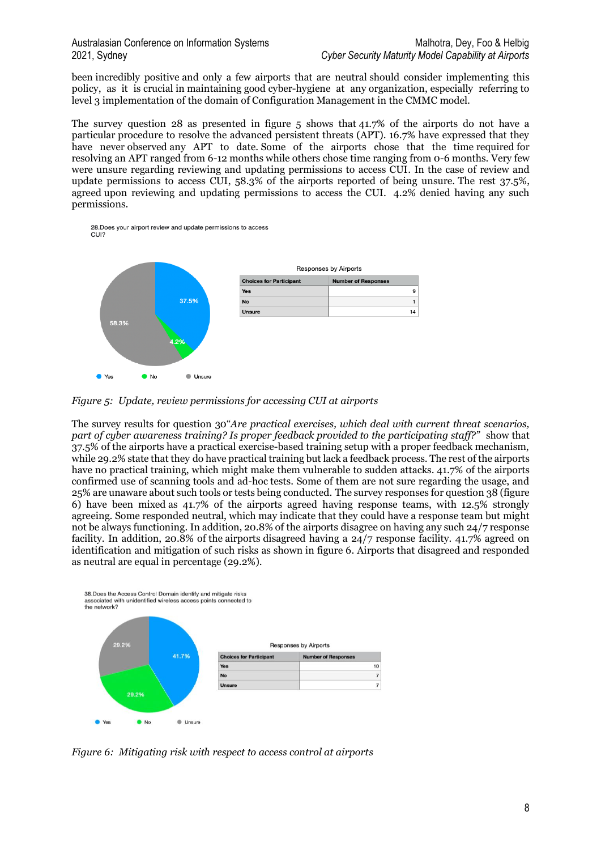been incredibly positive and only a few airports that are neutral should consider implementing this policy, as it is crucial in maintaining good cyber-hygiene at any organization, especially referring to level 3 implementation of the domain of Configuration Management in the CMMC model.

The survey question 28 as presented in figure 5 shows that 41.7% of the airports do not have a particular procedure to resolve the advanced persistent threats (APT). 16.7% have expressed that they have never observed any APT to date. Some of the airports chose that the time required for resolving an APT ranged from 6-12 months while others chose time ranging from 0-6 months. Very few were unsure regarding reviewing and updating permissions to access CUI. In the case of review and update permissions to access CUI, 58.3% of the airports reported of being unsure. The rest 37.5%, agreed upon reviewing and updating permissions to access the CUI. 4.2% denied having any such permissions.

28. Does your airport review and update permissions to access CUI?



*Figure 5: Update, review permissions for accessing CUI at airports*

The survey results for question 30"*Are practical exercises, which deal with current threat scenarios, part of cyber awareness training? Is proper feedback provided to the participating staff?"* show that 37.5% of the airports have a practical exercise-based training setup with a proper feedback mechanism, while 29.2% state that they do have practical training but lack a feedback process. The rest of the airports have no practical training, which might make them vulnerable to sudden attacks. 41.7% of the airports confirmed use of scanning tools and ad-hoc tests. Some of them are not sure regarding the usage, and 25% are unaware about such tools or tests being conducted. The survey responses for question 38 (figure 6) have been mixed as 41.7% of the airports agreed having response teams, with 12.5% strongly agreeing. Some responded neutral, which may indicate that they could have a response team but might not be always functioning. In addition, 20.8% of the airports disagree on having any such 24/7 response facility. In addition, 20.8% of the airports disagreed having a 24/7 response facility. 41.7% agreed on identification and mitigation of such risks as shown in figure 6. Airports that disagreed and responded as neutral are equal in percentage (29.2%).



*Figure 6: Mitigating risk with respect to access control at airports*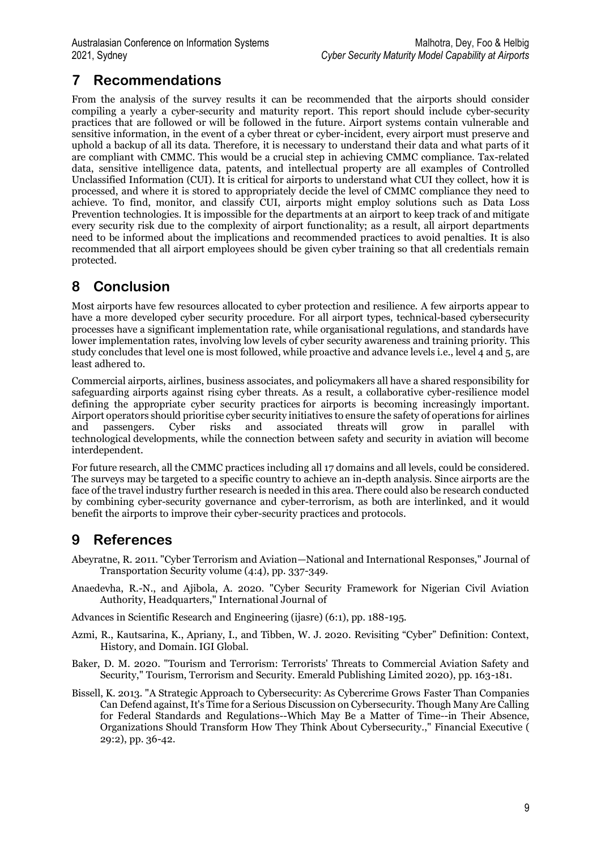## **7 Recommendations**

From the analysis of the survey results it can be recommended that the airports should consider compiling a yearly a cyber-security and maturity report. This report should include cyber-security practices that are followed or will be followed in the future. Airport systems contain vulnerable and sensitive information, in the event of a cyber threat or cyber-incident, every airport must preserve and uphold a backup of all its data. Therefore, it is necessary to understand their data and what parts of it are compliant with CMMC. This would be a crucial step in achieving CMMC compliance. Tax-related data, sensitive intelligence data, patents, and intellectual property are all examples of Controlled Unclassified Information (CUI). It is critical for airports to understand what CUI they collect, how it is processed, and where it is stored to appropriately decide the level of CMMC compliance they need to achieve. To find, monitor, and classify CUI, airports might employ solutions such as Data Loss Prevention technologies. It is impossible for the departments at an airport to keep track of and mitigate every security risk due to the complexity of airport functionality; as a result, all airport departments need to be informed about the implications and recommended practices to avoid penalties. It is also recommended that all airport employees should be given cyber training so that all credentials remain protected.

## **8 Conclusion**

Most airports have few resources allocated to cyber protection and resilience. A few airports appear to have a more developed cyber security procedure. For all airport types, technical-based cybersecurity processes have a significant implementation rate, while organisational regulations, and standards have lower implementation rates, involving low levels of cyber security awareness and training priority. This study concludes that level one is most followed, while proactive and advance levels i.e., level 4 and 5, are least adhered to.

Commercial airports, airlines, business associates, and policymakers all have a shared responsibility for safeguarding airports against rising cyber threats. As a result, a collaborative cyber-resilience model defining the appropriate cyber security practices for airports is becoming increasingly important. Airport operators should prioritise cyber security initiatives to ensure the safety of operations for airlines and passengers. Cyber risks and associated threats will grow in parallel with technological developments, while the connection between safety and security in aviation will become interdependent.

For future research, all the CMMC practices including all 17 domains and all levels, could be considered. The surveys may be targeted to a specific country to achieve an in-depth analysis. Since airports are the face of the travel industry further research is needed in this area. There could also be research conducted by combining cyber-security governance and cyber-terrorism, as both are interlinked, and it would benefit the airports to improve their cyber-security practices and protocols.

## **9 References**

- Abeyratne, R. 2011. "Cyber Terrorism and Aviation—National and International Responses," Journal of Transportation Security volume (4:4), pp. 337-349.
- Anaedevha, R.-N., and Ajibola, A. 2020. "Cyber Security Framework for Nigerian Civil Aviation Authority, Headquarters," International Journal of

Advances in Scientific Research and Engineering (ijasre) (6:1), pp. 188-195.

- Azmi, R., Kautsarina, K., Apriany, I., and Tibben, W. J. 2020. Revisiting "Cyber" Definition: Context, History, and Domain. IGI Global.
- Baker, D. M. 2020. "Tourism and Terrorism: Terrorists' Threats to Commercial Aviation Safety and Security," Tourism, Terrorism and Security. Emerald Publishing Limited 2020), pp. 163-181.
- Bissell, K. 2013. "A Strategic Approach to Cybersecurity: As Cybercrime Grows Faster Than Companies Can Defend against, It's Time for a Serious Discussion on Cybersecurity. Though Many Are Calling for Federal Standards and Regulations--Which May Be a Matter of Time--in Their Absence, Organizations Should Transform How They Think About Cybersecurity.," Financial Executive ( 29:2), pp. 36-42.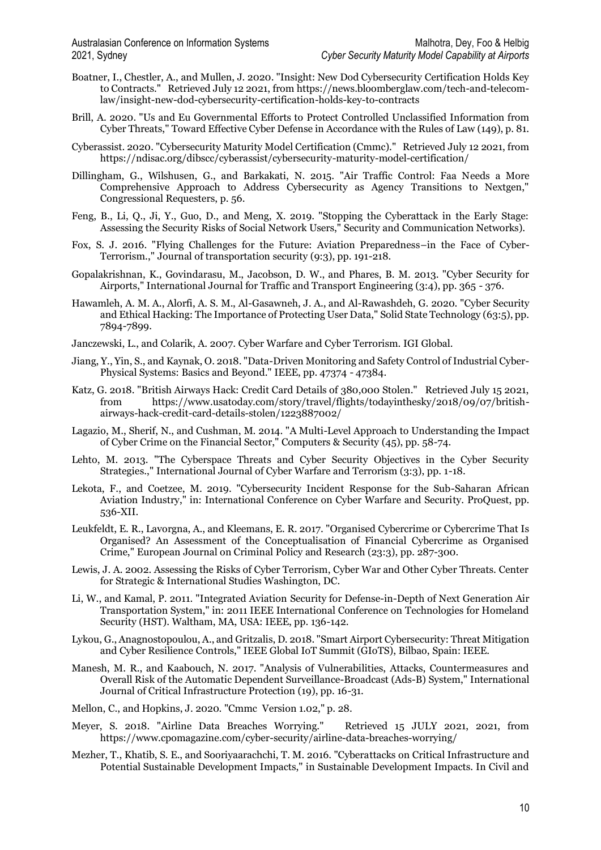- Boatner, I., Chestler, A., and Mullen, J. 2020. "Insight: New Dod Cybersecurity Certification Holds Key to Contracts." Retrieved July 12 2021, fro[m https://news.bloomberglaw.com/tech-and-telecom](https://news.bloomberglaw.com/tech-and-telecom-law/insight-new-dod-cybersecurity-certification-holds-key-to-contracts)[law/insight-new-dod-cybersecurity-certification-holds-key-to-contracts](https://news.bloomberglaw.com/tech-and-telecom-law/insight-new-dod-cybersecurity-certification-holds-key-to-contracts)
- Brill, A. 2020. "Us and Eu Governmental Efforts to Protect Controlled Unclassified Information from Cyber Threats," Toward Effective Cyber Defense in Accordance with the Rules of Law (149), p. 81.
- Cyberassist. 2020. "Cybersecurity Maturity Model Certification (Cmmc)." Retrieved July 12 2021, from <https://ndisac.org/dibscc/cyberassist/cybersecurity-maturity-model-certification/>
- Dillingham, G., Wilshusen, G., and Barkakati, N. 2015. "Air Traffic Control: Faa Needs a More Comprehensive Approach to Address Cybersecurity as Agency Transitions to Nextgen," Congressional Requesters, p. 56.
- Feng, B., Li, Q., Ji, Y., Guo, D., and Meng, X. 2019. "Stopping the Cyberattack in the Early Stage: Assessing the Security Risks of Social Network Users," Security and Communication Networks).
- Fox, S. J. 2016. "Flying Challenges for the Future: Aviation Preparedness–in the Face of Cyber-Terrorism.," Journal of transportation security (9:3), pp. 191-218.
- Gopalakrishnan, K., Govindarasu, M., Jacobson, D. W., and Phares, B. M. 2013. "Cyber Security for Airports," International Journal for Traffic and Transport Engineering (3:4), pp. 365 - 376.
- Hawamleh, A. M. A., Alorfi, A. S. M., Al-Gasawneh, J. A., and Al-Rawashdeh, G. 2020. "Cyber Security and Ethical Hacking: The Importance of Protecting User Data," Solid State Technology (63:5), pp. 7894-7899.
- Janczewski, L., and Colarik, A. 2007. Cyber Warfare and Cyber Terrorism. IGI Global.
- Jiang, Y., Yin, S., and Kaynak, O. 2018. "Data-Driven Monitoring and Safety Control of Industrial Cyber-Physical Systems: Basics and Beyond." IEEE, pp. 47374 - 47384.
- Katz, G. 2018. "British Airways Hack: Credit Card Details of 380,000 Stolen." Retrieved July 15 2021, from [https://www.usatoday.com/story/travel/flights/todayinthesky/2018/09/07/british](https://www.usatoday.com/story/travel/flights/todayinthesky/2018/09/07/british-airways-hack-credit-card-details-stolen/1223887002/)[airways-hack-credit-card-details-stolen/1223887002/](https://www.usatoday.com/story/travel/flights/todayinthesky/2018/09/07/british-airways-hack-credit-card-details-stolen/1223887002/)
- Lagazio, M., Sherif, N., and Cushman, M. 2014. "A Multi-Level Approach to Understanding the Impact of Cyber Crime on the Financial Sector," Computers & Security (45), pp. 58-74.
- Lehto, M. 2013. "The Cyberspace Threats and Cyber Security Objectives in the Cyber Security Strategies.," International Journal of Cyber Warfare and Terrorism (3:3), pp. 1-18.
- Lekota, F., and Coetzee, M. 2019. "Cybersecurity Incident Response for the Sub-Saharan African Aviation Industry," in: International Conference on Cyber Warfare and Security. ProQuest, pp. 536-XII.
- Leukfeldt, E. R., Lavorgna, A., and Kleemans, E. R. 2017. "Organised Cybercrime or Cybercrime That Is Organised? An Assessment of the Conceptualisation of Financial Cybercrime as Organised Crime," European Journal on Criminal Policy and Research (23:3), pp. 287-300.
- Lewis, J. A. 2002. Assessing the Risks of Cyber Terrorism, Cyber War and Other Cyber Threats. Center for Strategic & International Studies Washington, DC.
- Li, W., and Kamal, P. 2011. "Integrated Aviation Security for Defense-in-Depth of Next Generation Air Transportation System," in: 2011 IEEE International Conference on Technologies for Homeland Security (HST). Waltham, MA, USA: IEEE, pp. 136-142.
- Lykou, G., Anagnostopoulou, A., and Gritzalis, D. 2018. "Smart Airport Cybersecurity: Threat Mitigation and Cyber Resilience Controls," IEEE Global IoT Summit (GIoTS), Bilbao, Spain: IEEE.
- Manesh, M. R., and Kaabouch, N. 2017. "Analysis of Vulnerabilities, Attacks, Countermeasures and Overall Risk of the Automatic Dependent Surveillance-Broadcast (Ads-B) System," International Journal of Critical Infrastructure Protection (19), pp. 16-31.
- Mellon, C., and Hopkins, J. 2020. "Cmmc Version 1.02," p. 28.
- Meyer, S. 2018. "Airline Data Breaches Worrying." Retrieved 15 JULY 2021, 2021, from <https://www.cpomagazine.com/cyber-security/airline-data-breaches-worrying/>
- Mezher, T., Khatib, S. E., and Sooriyaarachchi, T. M. 2016. "Cyberattacks on Critical Infrastructure and Potential Sustainable Development Impacts," in Sustainable Development Impacts. In Civil and